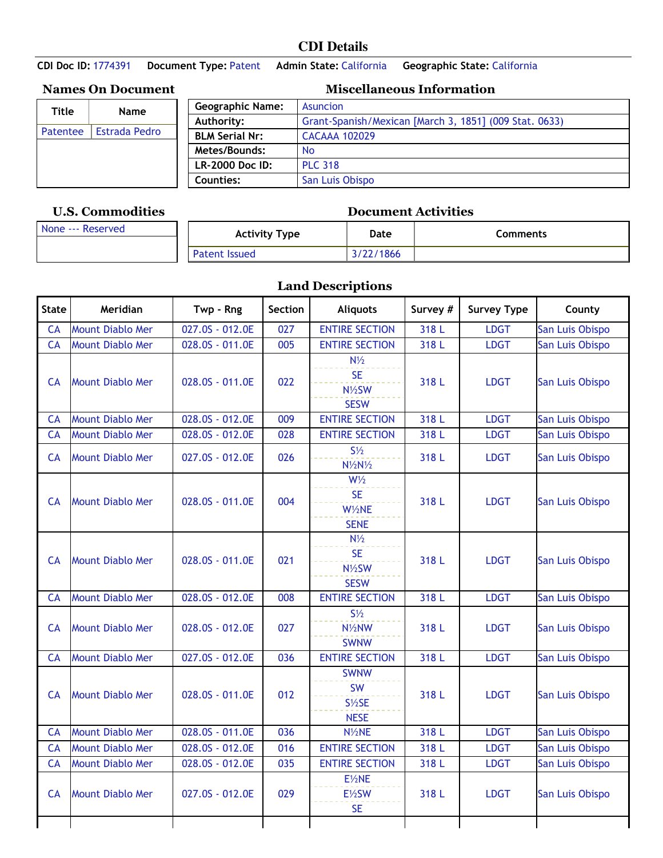## **CDI Details**

**CDI Doc ID:** 1774391 **Document Type:** Patent **Admin State:** California **Geographic State:** California

**Names On Document** 

| Title    | Name                 |
|----------|----------------------|
| Patentee | <b>Estrada Pedro</b> |
|          |                      |
|          |                      |
|          |                      |

## **U.S. Commodities Document Activities**

| <b>Miscellaneous Information</b> |  |
|----------------------------------|--|
|----------------------------------|--|

| <b>Geographic Name:</b> | Asuncion                                               |
|-------------------------|--------------------------------------------------------|
| Authority:              | Grant-Spanish/Mexican [March 3, 1851] (009 Stat. 0633) |
| <b>BLM Serial Nr:</b>   | <b>CACAAA 102029</b>                                   |
| Metes/Bounds:           | <b>No</b>                                              |
| LR-2000 Doc ID:         | <b>PLC 318</b>                                         |
| Counties:               | San Luis Obispo                                        |

| None --- Reserved | Activity Type        | Date     | Comments |
|-------------------|----------------------|----------|----------|
|                   | <b>Patent Issued</b> | 122/1866 |          |

## **Land Descriptions**

| <b>State</b> | Meridian                | Twp - Rng       | Section | <b>Aliquots</b>                                                   | Survey # | <b>Survey Type</b> | County          |
|--------------|-------------------------|-----------------|---------|-------------------------------------------------------------------|----------|--------------------|-----------------|
| CA           | <b>Mount Diablo Mer</b> | 027.0S - 012.0E | 027     | <b>ENTIRE SECTION</b>                                             | 318 L    | <b>LDGT</b>        | San Luis Obispo |
| CA           | <b>Mount Diablo Mer</b> | 028.0S - 011.0E | 005     | <b>ENTIRE SECTION</b>                                             | 318 L    | <b>LDGT</b>        | San Luis Obispo |
| <b>CA</b>    | <b>Mount Diablo Mer</b> | 028.0S - 011.0E | 022     | $N\frac{1}{2}$<br><b>SE</b><br>N1/2SW<br><b>SESW</b>              | 318 L    | <b>LDGT</b>        | San Luis Obispo |
| CA           | <b>Mount Diablo Mer</b> | 028.0S - 012.0E | 009     | <b>ENTIRE SECTION</b>                                             | 318 L    | <b>LDGT</b>        | San Luis Obispo |
| CA           | <b>Mount Diablo Mer</b> | 028.0S - 012.0E | 028     | <b>ENTIRE SECTION</b>                                             | 318 L    | <b>LDGT</b>        | San Luis Obispo |
| CA           | <b>Mount Diablo Mer</b> | 027.0S - 012.0E | 026     | $S\frac{1}{2}$<br>$N\frac{1}{2}N\frac{1}{2}$                      | 318 L    | <b>LDGT</b>        | San Luis Obispo |
| <b>CA</b>    | <b>Mount Diablo Mer</b> | 028.0S - 011.0E | 004     | $W\frac{1}{2}$<br><b>SE</b><br>W1/2NE<br><b>SENE</b>              | 318L     | <b>LDGT</b>        | San Luis Obispo |
| CA           | <b>Mount Diablo Mer</b> | 028.0S - 011.0E | 021     | $N\frac{1}{2}$<br><b>SE</b><br>N1/2SW<br><b>SESW</b>              | 318 L    | <b>LDGT</b>        | San Luis Obispo |
| CA           | <b>Mount Diablo Mer</b> | 028.0S - 012.0E | 008     | <b>ENTIRE SECTION</b>                                             | 318 L    | <b>LDGT</b>        | San Luis Obispo |
| <b>CA</b>    | <b>Mount Diablo Mer</b> | 028.0S - 012.0E | 027     | $S\frac{1}{2}$<br>N <sup>1</sup> / <sub>2</sub> NW<br><b>SWNW</b> | 318L     | <b>LDGT</b>        | San Luis Obispo |
| <b>CA</b>    | <b>Mount Diablo Mer</b> | 027.0S - 012.0E | 036     | <b>ENTIRE SECTION</b>                                             | 318 L    | <b>LDGT</b>        | San Luis Obispo |
| CA           | <b>Mount Diablo Mer</b> | 028.0S - 011.0E | 012     | <b>SWNW</b><br><b>SW</b><br>$S\frac{1}{2}SE$<br><b>NESE</b>       | 318 L    | <b>LDGT</b>        | San Luis Obispo |
| CA           | <b>Mount Diablo Mer</b> | 028.0S - 011.0E | 036     | N <sub>/2</sub> NE                                                | 318 L    | <b>LDGT</b>        | San Luis Obispo |
| CA           | <b>Mount Diablo Mer</b> | 028.0S - 012.0E | 016     | <b>ENTIRE SECTION</b>                                             | 318 L    | <b>LDGT</b>        | San Luis Obispo |
| CA           | <b>Mount Diablo Mer</b> | 028.0S - 012.0E | 035     | <b>ENTIRE SECTION</b>                                             | 318 L    | <b>LDGT</b>        | San Luis Obispo |
| CA           | <b>Mount Diablo Mer</b> | 027.0S - 012.0E | 029     | E1/2NE<br>E1/2SW<br><b>SE</b>                                     | 318 L    | <b>LDGT</b>        | San Luis Obispo |
|              |                         |                 |         |                                                                   |          |                    |                 |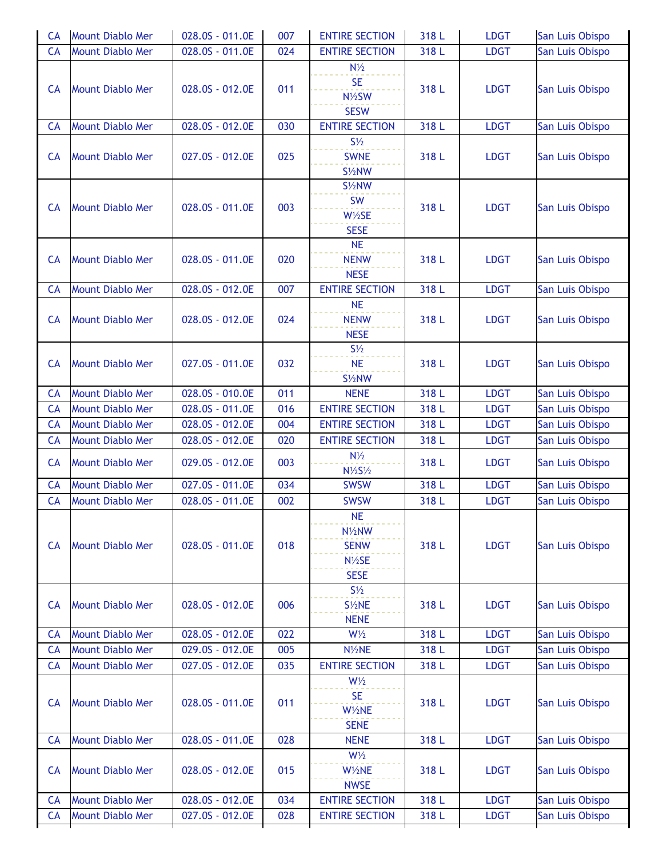| <b>CA</b> | <b>Mount Diablo Mer</b> | 028.0S - 011.0E | 007 | <b>ENTIRE SECTION</b>                                                   | 318 L | <b>LDGT</b> | San Luis Obispo |
|-----------|-------------------------|-----------------|-----|-------------------------------------------------------------------------|-------|-------------|-----------------|
| CA        | <b>Mount Diablo Mer</b> | 028.0S - 011.0E | 024 | <b>ENTIRE SECTION</b>                                                   | 318 L | <b>LDGT</b> | San Luis Obispo |
| <b>CA</b> | <b>Mount Diablo Mer</b> | 028.0S - 012.0E | 011 | $N\frac{1}{2}$<br><b>SE</b><br>N1/2SW<br><b>SESW</b>                    | 318 L | <b>LDGT</b> | San Luis Obispo |
| <b>CA</b> | <b>Mount Diablo Mer</b> | 028.0S - 012.0E | 030 | <b>ENTIRE SECTION</b>                                                   | 318 L | <b>LDGT</b> | San Luis Obispo |
| <b>CA</b> | <b>Mount Diablo Mer</b> | 027.0S - 012.0E | 025 | $S\frac{1}{2}$<br><b>SWNE</b><br>S <sup>1/2</sup> NW                    | 318 L | <b>LDGT</b> | San Luis Obispo |
| <b>CA</b> | <b>Mount Diablo Mer</b> | 028.0S - 011.0E | 003 | $S\frac{1}{2}NW$<br><b>SW</b><br>W1/2SE<br><b>SESE</b>                  | 318 L | <b>LDGT</b> | San Luis Obispo |
| <b>CA</b> | <b>Mount Diablo Mer</b> | 028.0S - 011.0E | 020 | <b>NE</b><br><b>NENW</b><br><b>NESE</b>                                 | 318 L | <b>LDGT</b> | San Luis Obispo |
| <b>CA</b> | <b>Mount Diablo Mer</b> | 028.0S - 012.0E | 007 | <b>ENTIRE SECTION</b>                                                   | 318 L | <b>LDGT</b> | San Luis Obispo |
| <b>CA</b> | <b>Mount Diablo Mer</b> | 028.0S - 012.0E | 024 | <b>NE</b><br><b>NENW</b><br><b>NESE</b>                                 | 318 L | <b>LDGT</b> | San Luis Obispo |
| <b>CA</b> | <b>Mount Diablo Mer</b> | 027.0S - 011.0E | 032 | $S\frac{1}{2}$<br><b>NE</b><br>S1/2NW                                   | 318 L | <b>LDGT</b> | San Luis Obispo |
| <b>CA</b> | <b>Mount Diablo Mer</b> | 028.0S - 010.0E | 011 | <b>NENE</b>                                                             | 318 L | <b>LDGT</b> | San Luis Obispo |
| CA        | <b>Mount Diablo Mer</b> | 028.0S - 011.0E | 016 | <b>ENTIRE SECTION</b>                                                   | 318 L | <b>LDGT</b> | San Luis Obispo |
| <b>CA</b> | <b>Mount Diablo Mer</b> | 028.0S - 012.0E | 004 | <b>ENTIRE SECTION</b>                                                   | 318 L | <b>LDGT</b> | San Luis Obispo |
| CA        | <b>Mount Diablo Mer</b> | 028.0S - 012.0E | 020 | <b>ENTIRE SECTION</b>                                                   | 318 L | <b>LDGT</b> | San Luis Obispo |
| <b>CA</b> | <b>Mount Diablo Mer</b> | 029.0S - 012.0E | 003 | $N\frac{1}{2}$<br>$N\frac{1}{2}S\frac{1}{2}$                            | 318 L | <b>LDGT</b> | San Luis Obispo |
| <b>CA</b> | <b>Mount Diablo Mer</b> | 027.0S - 011.0E | 034 | <b>SWSW</b>                                                             | 318 L | <b>LDGT</b> | San Luis Obispo |
| <b>CA</b> | <b>Mount Diablo Mer</b> | 028.0S - 011.0E | 002 | <b>SWSW</b>                                                             | 318 L | <b>LDGT</b> | San Luis Obispo |
| CA        | <b>Mount Diablo Mer</b> | 028.0S - 011.0E | 018 | <b>NE</b><br>N <sub>/2</sub> NW<br><b>SENW</b><br>N1/2SE<br><b>SESE</b> | 318 L | <b>LDGT</b> | San Luis Obispo |
| <b>CA</b> | <b>Mount Diablo Mer</b> | 028.0S - 012.0E | 006 | $S\frac{1}{2}$<br>S <sup>1/2</sup> NE<br><b>NENE</b>                    | 318 L | <b>LDGT</b> | San Luis Obispo |
| <b>CA</b> | <b>Mount Diablo Mer</b> | 028.0S - 012.0E | 022 | $W\frac{1}{2}$                                                          | 318 L | <b>LDGT</b> | San Luis Obispo |
| <b>CA</b> | <b>Mount Diablo Mer</b> | 029.0S - 012.0E | 005 | N1/2NE                                                                  | 318 L | <b>LDGT</b> | San Luis Obispo |
| <b>CA</b> | <b>Mount Diablo Mer</b> | 027.0S - 012.0E | 035 | <b>ENTIRE SECTION</b>                                                   | 318 L | <b>LDGT</b> | San Luis Obispo |
| <b>CA</b> | <b>Mount Diablo Mer</b> | 028.0S - 011.0E | 011 | $W\frac{1}{2}$<br><b>SE</b><br>W1/2NE<br><b>SENE</b>                    | 318 L | <b>LDGT</b> | San Luis Obispo |
| <b>CA</b> | <b>Mount Diablo Mer</b> | 028.0S - 011.0E | 028 | <b>NENE</b>                                                             | 318 L | <b>LDGT</b> | San Luis Obispo |
| <b>CA</b> | <b>Mount Diablo Mer</b> | 028.0S - 012.0E | 015 | $W\frac{1}{2}$<br>W1/2NE<br><b>NWSE</b>                                 | 318 L | <b>LDGT</b> | San Luis Obispo |
| <b>CA</b> | <b>Mount Diablo Mer</b> | 028.0S - 012.0E | 034 | <b>ENTIRE SECTION</b>                                                   | 318 L | <b>LDGT</b> | San Luis Obispo |
| <b>CA</b> | <b>Mount Diablo Mer</b> | 027.0S - 012.0E | 028 | <b>ENTIRE SECTION</b>                                                   | 318 L | <b>LDGT</b> | San Luis Obispo |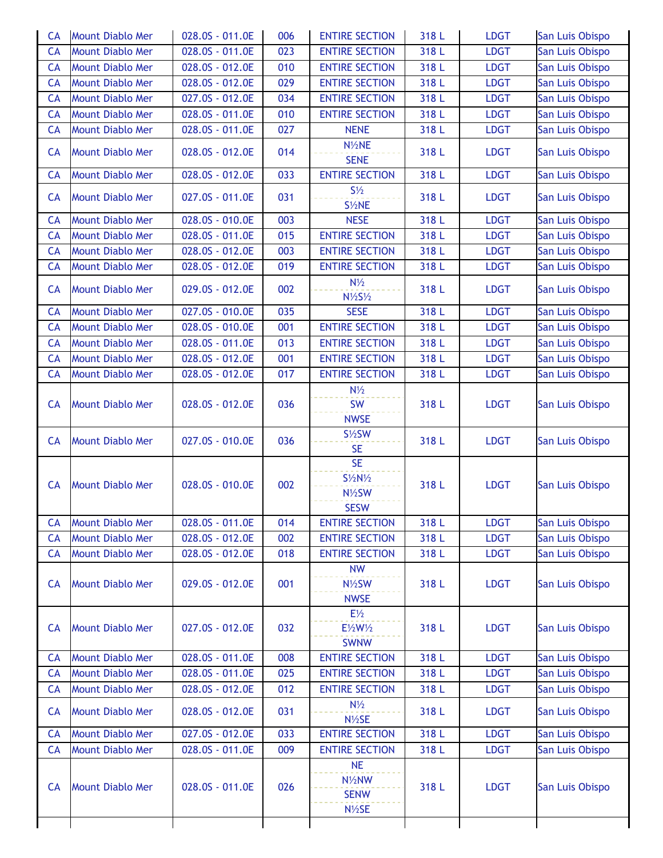| <b>CA</b> | <b>Mount Diablo Mer</b> | 028.0S - 011.0E | 006 | <b>ENTIRE SECTION</b>                                                            | 318 L | <b>LDGT</b> | San Luis Obispo |
|-----------|-------------------------|-----------------|-----|----------------------------------------------------------------------------------|-------|-------------|-----------------|
| CA        | <b>Mount Diablo Mer</b> | 028.0S - 011.0E | 023 | <b>ENTIRE SECTION</b>                                                            | 318 L | <b>LDGT</b> | San Luis Obispo |
| <b>CA</b> | <b>Mount Diablo Mer</b> | 028.0S - 012.0E | 010 | <b>ENTIRE SECTION</b>                                                            | 318 L | <b>LDGT</b> | San Luis Obispo |
| <b>CA</b> | <b>Mount Diablo Mer</b> | 028.0S - 012.0E | 029 | <b>ENTIRE SECTION</b>                                                            | 318 L | <b>LDGT</b> | San Luis Obispo |
| CA        | <b>Mount Diablo Mer</b> | 027.0S - 012.0E | 034 | <b>ENTIRE SECTION</b>                                                            | 318 L | <b>LDGT</b> | San Luis Obispo |
| CA        | <b>Mount Diablo Mer</b> | 028.0S - 011.0E | 010 | <b>ENTIRE SECTION</b>                                                            | 318 L | <b>LDGT</b> | San Luis Obispo |
| CA        | <b>Mount Diablo Mer</b> | 028.0S - 011.0E | 027 | <b>NENE</b>                                                                      | 318 L | <b>LDGT</b> | San Luis Obispo |
|           |                         |                 |     | N1/2NE                                                                           |       |             |                 |
| <b>CA</b> | <b>Mount Diablo Mer</b> | 028.0S - 012.0E | 014 | <b>SENE</b>                                                                      | 318 L | <b>LDGT</b> | San Luis Obispo |
| CA        | <b>Mount Diablo Mer</b> | 028.0S - 012.0E | 033 | <b>ENTIRE SECTION</b>                                                            | 318 L | <b>LDGT</b> | San Luis Obispo |
| CA        | <b>Mount Diablo Mer</b> | 027.0S - 011.0E | 031 | $S\frac{1}{2}$<br>S1/2NE                                                         | 318 L | <b>LDGT</b> | San Luis Obispo |
| CA        | <b>Mount Diablo Mer</b> | 028.0S - 010.0E | 003 | <b>NESE</b>                                                                      | 318 L | <b>LDGT</b> | San Luis Obispo |
| <b>CA</b> | <b>Mount Diablo Mer</b> | 028.0S - 011.0E | 015 | <b>ENTIRE SECTION</b>                                                            | 318 L | <b>LDGT</b> | San Luis Obispo |
| CA        | <b>Mount Diablo Mer</b> | 028.0S - 012.0E | 003 | <b>ENTIRE SECTION</b>                                                            | 318 L | <b>LDGT</b> | San Luis Obispo |
| CA        | <b>Mount Diablo Mer</b> | 028.0S - 012.0E | 019 | <b>ENTIRE SECTION</b>                                                            | 318 L | <b>LDGT</b> | San Luis Obispo |
| <b>CA</b> | <b>Mount Diablo Mer</b> | 029.0S - 012.0E | 002 | $N\frac{1}{2}$<br>$N\frac{1}{2}S\frac{1}{2}$                                     | 318 L | <b>LDGT</b> | San Luis Obispo |
| CA        | <b>Mount Diablo Mer</b> | 027.0S - 010.0E | 035 | <b>SESE</b>                                                                      | 318 L | <b>LDGT</b> | San Luis Obispo |
| CA        | <b>Mount Diablo Mer</b> | 028.0S - 010.0E | 001 | <b>ENTIRE SECTION</b>                                                            | 318 L | <b>LDGT</b> | San Luis Obispo |
| <b>CA</b> | <b>Mount Diablo Mer</b> | 028.0S - 011.0E | 013 | <b>ENTIRE SECTION</b>                                                            | 318 L | <b>LDGT</b> | San Luis Obispo |
| CA        | <b>Mount Diablo Mer</b> | 028.0S - 012.0E | 001 | <b>ENTIRE SECTION</b>                                                            | 318 L | <b>LDGT</b> | San Luis Obispo |
| CA        | <b>Mount Diablo Mer</b> | 028.0S - 012.0E | 017 | <b>ENTIRE SECTION</b>                                                            | 318 L | <b>LDGT</b> | San Luis Obispo |
| <b>CA</b> | <b>Mount Diablo Mer</b> | 028.0S - 012.0E | 036 | $N\frac{1}{2}$<br><b>SW</b><br><b>NWSE</b>                                       | 318 L | <b>LDGT</b> | San Luis Obispo |
| CA        | <b>Mount Diablo Mer</b> | 027.0S - 010.0E | 036 | $S\frac{1}{2}SW$<br><b>SE</b>                                                    | 318 L | <b>LDGT</b> | San Luis Obispo |
| <b>CA</b> | <b>Mount Diablo Mer</b> | 028.0S - 010.0E | 002 | <b>SE</b><br>$S\frac{1}{2}N\frac{1}{2}$<br>N1/2SW<br><b>SESW</b>                 | 318 L | <b>LDGT</b> | San Luis Obispo |
| <b>CA</b> | <b>Mount Diablo Mer</b> | 028.0S - 011.0E | 014 | <b>ENTIRE SECTION</b>                                                            | 318 L | <b>LDGT</b> | San Luis Obispo |
| <b>CA</b> | <b>Mount Diablo Mer</b> | 028.0S - 012.0E | 002 | <b>ENTIRE SECTION</b>                                                            | 318 L | <b>LDGT</b> | San Luis Obispo |
| <b>CA</b> | <b>Mount Diablo Mer</b> | 028.0S - 012.0E | 018 | <b>ENTIRE SECTION</b>                                                            | 318 L | <b>LDGT</b> | San Luis Obispo |
| <b>CA</b> | <b>Mount Diablo Mer</b> | 029.0S - 012.0E | 001 | <b>NW</b><br>N1/2SW<br><b>NWSE</b>                                               | 318 L | <b>LDGT</b> | San Luis Obispo |
| <b>CA</b> | <b>Mount Diablo Mer</b> | 027.0S - 012.0E | 032 | $E\frac{1}{2}$<br>E1/2W1/2<br><b>SWNW</b>                                        | 318 L | <b>LDGT</b> | San Luis Obispo |
| <b>CA</b> | <b>Mount Diablo Mer</b> | 028.0S - 011.0E | 008 | <b>ENTIRE SECTION</b>                                                            | 318 L | <b>LDGT</b> | San Luis Obispo |
| <b>CA</b> | <b>Mount Diablo Mer</b> | 028.0S - 011.0E | 025 | <b>ENTIRE SECTION</b>                                                            | 318 L | <b>LDGT</b> | San Luis Obispo |
| CA        | <b>Mount Diablo Mer</b> | 028.0S - 012.0E | 012 | <b>ENTIRE SECTION</b>                                                            | 318 L | <b>LDGT</b> | San Luis Obispo |
| <b>CA</b> | <b>Mount Diablo Mer</b> | 028.0S - 012.0E | 031 | $N\frac{1}{2}$<br>N1/2SE                                                         | 318 L | <b>LDGT</b> | San Luis Obispo |
| CA        | <b>Mount Diablo Mer</b> | 027.0S - 012.0E | 033 | <b>ENTIRE SECTION</b>                                                            | 318 L | <b>LDGT</b> | San Luis Obispo |
| <b>CA</b> | <b>Mount Diablo Mer</b> | 028.0S - 011.0E | 009 | <b>ENTIRE SECTION</b>                                                            | 318 L | <b>LDGT</b> | San Luis Obispo |
| <b>CA</b> | <b>Mount Diablo Mer</b> | 028.0S - 011.0E | 026 | <b>NE</b><br>N <sup>1</sup> / <sub>2</sub> NW<br><b>SENW</b><br>$N\frac{1}{2}SE$ | 318 L | <b>LDGT</b> | San Luis Obispo |
|           |                         |                 |     |                                                                                  |       |             |                 |